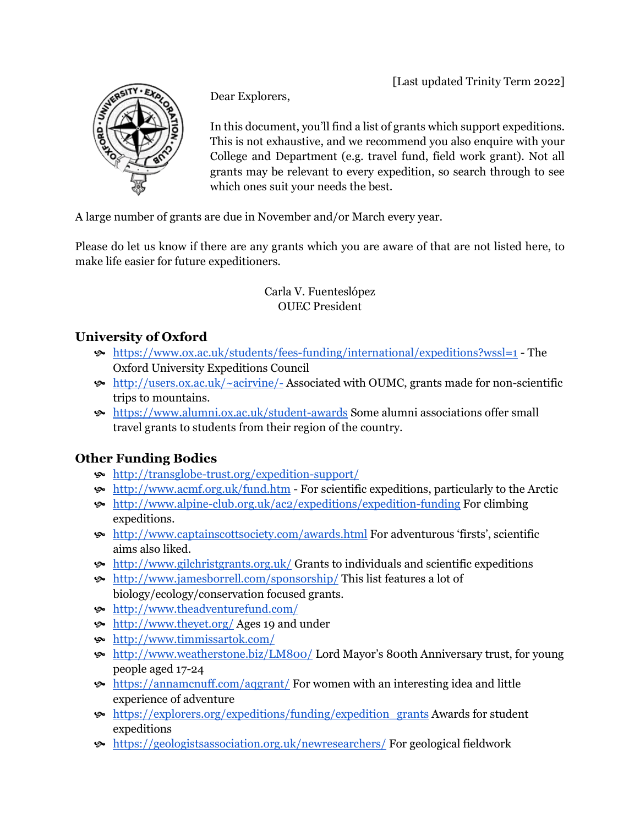[Last updated Trinity Term 2022]



Dear Explorers,

In this document, you'll find a list of grants which support expeditions. This is not exhaustive, and we recommend you also enquire with your College and Department (e.g. travel fund, field work grant). Not all grants may be relevant to every expedition, so search through to see which ones suit your needs the best.

A large number of grants are due in November and/or March every year.

Please do let us know if there are any grants which you are aware of that are not listed here, to make life easier for future expeditioners.

> Carla V. Fuenteslópez OUEC President

## **University of Oxford**

- <https://www.ox.ac.uk/students/fees-funding/international/expeditions?wssl=1> The Oxford University Expeditions Council
- <http://users.ox.ac.uk/~acirvine/->Associated with OUMC, grants made for non-scientific trips to mountains.
- <https://www.alumni.ox.ac.uk/student-awards>Some alumni associations offer small travel grants to students from their region of the country.

## **Other Funding Bodies**

- <http://transglobe-trust.org/expedition-support/>
- <http://www.acmf.org.uk/fund.htm> For scientific expeditions, particularly to the Arctic
- <http://www.alpine-club.org.uk/ac2/expeditions/expedition-funding>For climbing expeditions.
- <http://www.captainscottsociety.com/awards.html>For adventurous 'firsts', scientific aims also liked.
- $\bullet$  <http://www.gilchristgrants.org.uk/>Grants to individuals and scientific expeditions
- <http://www.jamesborrell.com/sponsorship/>This list features a lot of biology/ecology/conservation focused grants.
- <http://www.theadventurefund.com/>
- <http://www.theyet.org/>Ages 19 and under
- <http://www.timmissartok.com/>
- <http://www.weatherstone.biz/LM800/>Lord Mayor's 800th Anniversary trust, for young people aged 17-24
- <https://annamcnuff.com/aqgrant/>For women with an interesting idea and little experience of adventure
- [https://explorers.org/expeditions/funding/expedition\\_grants](https://explorers.org/expeditions/funding/expedition_grants) Awards for student expeditions
- <https://geologistsassociation.org.uk/newresearchers/>For geological fieldwork